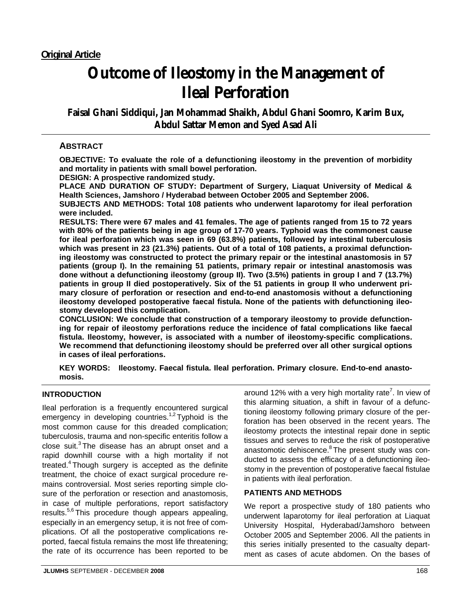# **Outcome of Ileostomy in the Management of Ileal Perforation**

**Faisal Ghani Siddiqui, Jan Mohammad Shaikh, Abdul Ghani Soomro, Karim Bux, Abdul Sattar Memon and Syed Asad Ali** 

### **ABSTRACT**

**OBJECTIVE: To evaluate the role of a defunctioning ileostomy in the prevention of morbidity and mortality in patients with small bowel perforation.** 

**DESIGN: A prospective randomized study.** 

**PLACE AND DURATION OF STUDY: Department of Surgery, Liaquat University of Medical & Health Sciences, Jamshoro / Hyderabad between October 2005 and September 2006.** 

**SUBJECTS AND METHODS: Total 108 patients who underwent laparotomy for ileal perforation were included.** 

**RESULTS: There were 67 males and 41 females. The age of patients ranged from 15 to 72 years with 80% of the patients being in age group of 17-70 years. Typhoid was the commonest cause for ileal perforation which was seen in 69 (63.8%) patients, followed by intestinal tuberculosis which was present in 23 (21.3%) patients. Out of a total of 108 patients, a proximal defunctioning ileostomy was constructed to protect the primary repair or the intestinal anastomosis in 57 patients (group I). In the remaining 51 patients, primary repair or intestinal anastomosis was done without a defunctioning ileostomy (group II). Two (3.5%) patients in group I and 7 (13.7%) patients in group II died postoperatively. Six of the 51 patients in group II who underwent primary closure of perforation or resection and end-to-end anastomosis without a defunctioning ileostomy developed postoperative faecal fistula. None of the patients with defunctioning ileostomy developed this complication.** 

**CONCLUSION: We conclude that construction of a temporary ileostomy to provide defunctioning for repair of ileostomy perforations reduce the incidence of fatal complications like faecal fistula. Ileostomy, however, is associated with a number of ileostomy-specific complications. We recommend that defunctioning ileostomy should be preferred over all other surgical options in cases of ileal perforations.** 

**KEY WORDS: Ileostomy. Faecal fistula. Ileal perforation. Primary closure. End-to-end anastomosis.**

#### **INTRODUCTION**

Ileal perforation is a frequently encountered surgical emergency in developing countries.<sup>1,2</sup> Typhoid is the most common cause for this dreaded complication; tuberculosis, trauma and non-specific enteritis follow a close suit.<sup>3</sup> The disease has an abrupt onset and a rapid downhill course with a high mortality if not treated. $4$  Though surgery is accepted as the definite treatment, the choice of exact surgical procedure remains controversial. Most series reporting simple closure of the perforation or resection and anastomosis, in case of multiple perforations, report satisfactory results.<sup>5,6</sup> This procedure though appears appealing, especially in an emergency setup, it is not free of complications. Of all the postoperative complications reported, faecal fistula remains the most life threatening; the rate of its occurrence has been reported to be

around 12% with a very high mortality rate<sup>7</sup>. In view of this alarming situation, a shift in favour of a defunctioning ileostomy following primary closure of the perforation has been observed in the recent years. The ileostomy protects the intestinal repair done in septic tissues and serves to reduce the risk of postoperative anastomotic dehiscence.<sup>8</sup> The present study was conducted to assess the efficacy of a defunctioning ileostomy in the prevention of postoperative faecal fistulae in patients with ileal perforation.

#### **PATIENTS AND METHODS**

We report a prospective study of 180 patients who underwent laparotomy for ileal perforation at Liaquat University Hospital, Hyderabad/Jamshoro between October 2005 and September 2006. All the patients in this series initially presented to the casualty department as cases of acute abdomen. On the bases of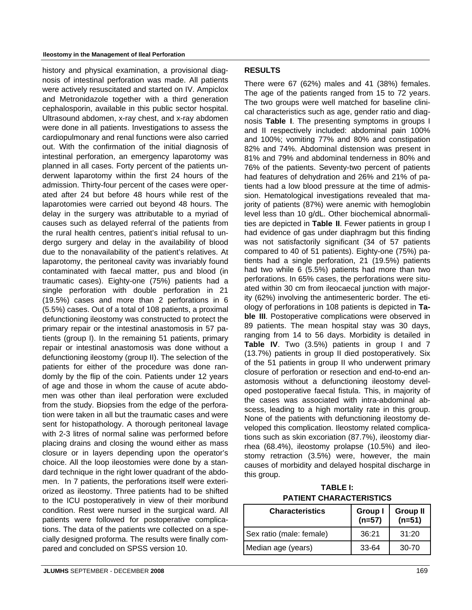history and physical examination, a provisional diagnosis of intestinal perforation was made. All patients were actively resuscitated and started on IV. Ampiclox and Metronidazole together with a third generation cephalosporin, available in this public sector hospital. Ultrasound abdomen, x-ray chest, and x-ray abdomen were done in all patients. Investigations to assess the cardiopulmonary and renal functions were also carried out. With the confirmation of the initial diagnosis of intestinal perforation, an emergency laparotomy was planned in all cases. Forty percent of the patients underwent laparotomy within the first 24 hours of the admission. Thirty-four percent of the cases were operated after 24 but before 48 hours while rest of the laparotomies were carried out beyond 48 hours. The delay in the surgery was attributable to a myriad of causes such as delayed referral of the patients from the rural health centres, patient's initial refusal to undergo surgery and delay in the availability of blood due to the nonavailability of the patient's relatives. At laparotomy, the peritoneal cavity was invariably found contaminated with faecal matter, pus and blood (in traumatic cases). Eighty-one (75%) patients had a single perforation with double perforation in 21 (19.5%) cases and more than 2 perforations in 6 (5.5%) cases. Out of a total of 108 patients, a proximal defunctioning ileostomy was constructed to protect the primary repair or the intestinal anastomosis in 57 patients (group I). In the remaining 51 patients, primary repair or intestinal anastomosis was done without a defunctioning ileostomy (group II). The selection of the patients for either of the procedure was done randomly by the flip of the coin. Patients under 12 years of age and those in whom the cause of acute abdomen was other than ileal perforation were excluded from the study. Biopsies from the edge of the perforation were taken in all but the traumatic cases and were sent for histopathology. A thorough peritoneal lavage with 2-3 litres of normal saline was performed before placing drains and closing the wound either as mass closure or in layers depending upon the operator's choice. All the loop ileostomies were done by a standard technique in the right lower quadrant of the abdomen. In 7 patients, the perforations itself were exteriorized as ileostomy. Three patients had to be shifted to the ICU postoperatively in view of their moribund condition. Rest were nursed in the surgical ward. All patients were followed for postoperative complications. The data of the patients wre collected on a specially designed proforma. The results were finally compared and concluded on SPSS version 10.

There were 67 (62%) males and 41 (38%) females. The age of the patients ranged from 15 to 72 years. The two groups were well matched for baseline clinical characteristics such as age, gender ratio and diagnosis **Table I**. The presenting symptoms in groups I and II respectively included: abdominal pain 100% and 100%; vomiting 77% and 80% and constipation 82% and 74%. Abdominal distension was present in 81% and 79% and abdominal tenderness in 80% and 76% of the patients. Seventy-two percent of patients had features of dehydration and 26% and 21% of patients had a low blood pressure at the time of admission. Hematological investigations revealed that majority of patients (87%) were anemic with hemoglobin level less than 10 g/dL. Other biochemical abnormalities are depicted in **Table II**. Fewer patients in group I had evidence of gas under diaphragm but this finding was not satisfactorily significant (34 of 57 patients compared to 40 of 51 patients). Eighty-one (75%) patients had a single perforation, 21 (19.5%) patients had two while 6 (5.5%) patients had more than two perforations. In 65% cases, the perforations were situated within 30 cm from ileocaecal junction with majority (62%) involving the antimesenteric border. The etiology of perforations in 108 patients is depicted in **Table III.** Postoperative complications were observed in 89 patients. The mean hospital stay was 30 days, ranging from 14 to 56 days. Morbidity is detailed in **Table IV**. Two (3.5%) patients in group I and 7 (13.7%) patients in group II died postoperatively. Six of the 51 patients in group II who underwent primary closure of perforation or resection and end-to-end anastomosis without a defunctioning ileostomy developed postoperative faecal fistula. This, in majority of the cases was associated with intra-abdominal abscess, leading to a high mortality rate in this group. None of the patients with defunctioning ileostomy developed this complication. Ileostomy related complications such as skin excoriation (87.7%), ileostomy diarrhea (68.4%), ileostomy prolapse (10.5%) and ileostomy retraction (3.5%) were, however, the main causes of morbidity and delayed hospital discharge in this group.

**TABLE I: PATIENT CHARACTERISTICS**

| <b>Characteristics</b>   | <b>Group I</b><br>$(n=57)$ | <b>Group II</b><br>$(n=51)$ |
|--------------------------|----------------------------|-----------------------------|
| Sex ratio (male: female) | 36:21                      | 31:20                       |
| Median age (years)       | $33 - 64$                  | $30-70$                     |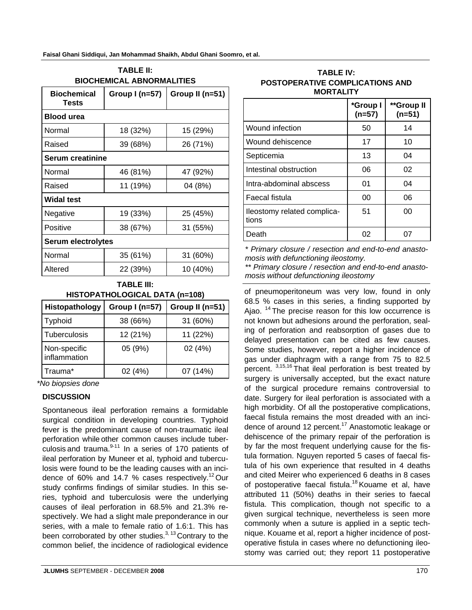| <b>BIOCHEMICAL ABNORMALITIES</b> |                 |                 |  |  |
|----------------------------------|-----------------|-----------------|--|--|
| <b>Biochemical</b><br>Tests      | Group $I(n=57)$ | Group II (n=51) |  |  |
| <b>Blood urea</b>                |                 |                 |  |  |
| Normal                           | 18 (32%)        | 15 (29%)        |  |  |
| Raised                           | 39 (68%)        | 26 (71%)        |  |  |
| <b>Serum creatinine</b>          |                 |                 |  |  |
| Normal                           | 46 (81%)        | 47 (92%)        |  |  |
| Raised                           | 11 (19%)        | 04 (8%)         |  |  |
| <b>Widal test</b>                |                 |                 |  |  |
| Negative                         | 19 (33%)        | 25 (45%)        |  |  |
| Positive                         | 38 (67%)        | 31 (55%)        |  |  |
| <b>Serum electrolytes</b>        |                 |                 |  |  |
| Normal                           | 35 (61%)        | 31 (60%)        |  |  |
| Altered                          | 22 (39%)        | 10 (40%)        |  |  |

| <b>TABLE II:</b>                 |  |  |
|----------------------------------|--|--|
| <b>BIOCHEMICAL ABNORMALITIES</b> |  |  |

| HISTOPATHOLOGICAL DATA (n=108) | <b>TABLE III:</b> |
|--------------------------------|-------------------|
|                                |                   |

| Histopathology               | Group I (n=57) | Group II (n=51) |
|------------------------------|----------------|-----------------|
| Typhoid                      | 38 (66%)       | 31 (60%)        |
| Tuberculosis                 | 12 (21%)       | 11 (22%)        |
| Non-specific<br>inflammation | 05 (9%)        | 02(4%)          |
| Trauma*                      | 02 (4%)        | 07 (14%)        |

*\*No biopsies done*

#### **DISCUSSION**

Spontaneous ileal perforation remains a formidable surgical condition in developing countries. Typhoid fever is the predominant cause of non-traumatic ileal perforation while other common causes include tuberculosis and trauma. $9-11$  In a series of 170 patients of ileal perforation by Muneer et al, typhoid and tuberculosis were found to be the leading causes with an incidence of 60% and 14.7 % cases respectively.<sup>12</sup> Our study confirms findings of similar studies. In this series, typhoid and tuberculosis were the underlying causes of ileal perforation in 68.5% and 21.3% respectively. We had a slight male preponderance in our series, with a male to female ratio of 1.6:1. This has been corroborated by other studies. $3,13$  Contrary to the common belief, the incidence of radiological evidence

#### **TABLE IV: POSTOPERATIVE COMPLICATIONS AND MORTALITY**

|                                      | *Group I<br>$(n=57)$ | **Group II<br>$(n=51)$ |
|--------------------------------------|----------------------|------------------------|
| Wound infection                      | 50                   | 14                     |
| Wound dehiscence                     | 17                   | 10                     |
| Septicemia                           | 13                   | 04                     |
| Intestinal obstruction               | 06                   | 02                     |
| Intra-abdominal abscess              | 01                   | 04                     |
| Faecal fistula                       | 00                   | 06                     |
| lleostomy related complica-<br>tions | 51                   | 00                     |
| Death                                | 02                   |                        |

*\* Primary closure / resection and end-to-end anastomosis with defunctioning ileostomy.* 

*\*\* Primary closure / resection and end-to-end anastomosis without defunctioning ileostomy*

of pneumoperitoneum was very low, found in only 68.5 % cases in this series, a finding supported by Ajao. <sup>14</sup> The precise reason for this low occurrence is not known but adhesions around the perforation, sealing of perforation and reabsorption of gases due to delayed presentation can be cited as few causes. Some studies, however, report a higher incidence of gas under diaphragm with a range from 75 to 82.5 percent. 3,15,16 That ileal perforation is best treated by surgery is universally accepted, but the exact nature of the surgical procedure remains controversial to date. Surgery for ileal perforation is associated with a high morbidity. Of all the postoperative complications, faecal fistula remains the most dreaded with an incidence of around 12 percent.<sup>17</sup> Anastomotic leakage or dehiscence of the primary repair of the perforation is by far the most frequent underlying cause for the fistula formation. Nguyen reported 5 cases of faecal fistula of his own experience that resulted in 4 deaths and cited Meirer who experienced 6 deaths in 8 cases of postoperative faecal fistula.<sup>18</sup> Kouame et al, have attributed 11 (50%) deaths in their series to faecal fistula. This complication, though not specific to a given surgical technique, nevertheless is seen more commonly when a suture is applied in a septic technique. Kouame et al, report a higher incidence of postoperative fistula in cases where no defunctioning ileostomy was carried out; they report 11 postoperative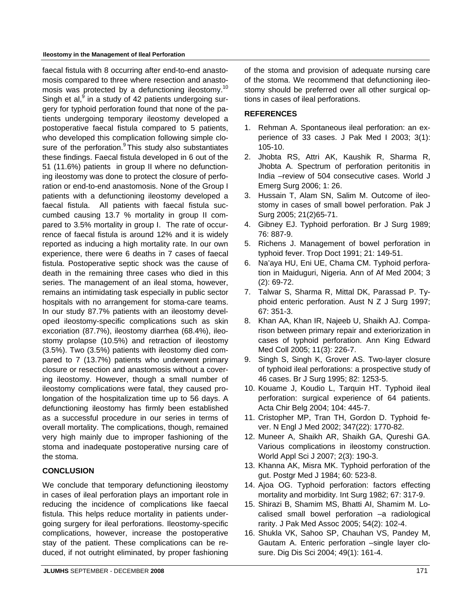#### **Ileostomy in the Management of Ileal Perforation**

faecal fistula with 8 occurring after end-to-end anastomosis compared to three where resection and anastomosis was protected by a defunctioning ileostomy.<sup>10</sup> Singh et al,<sup>9</sup> in a study of 42 patients undergoing surgery for typhoid perforation found that none of the patients undergoing temporary ileostomy developed a postoperative faecal fistula compared to 5 patients, who developed this complication following simple closure of the perforation.<sup>9</sup> This study also substantiates these findings. Faecal fistula developed in 6 out of the 51 (11.6%) patients in group II where no defunctioning ileostomy was done to protect the closure of perforation or end-to-end anastomosis. None of the Group I patients with a defunctioning ileostomy developed a faecal fistula. All patients with faecal fistula succumbed causing 13.7 % mortality in group II compared to 3.5% mortality in group I. The rate of occurrence of faecal fistula is around 12% and it is widely reported as inducing a high mortality rate. In our own experience, there were 6 deaths in 7 cases of faecal fistula. Postoperative septic shock was the cause of death in the remaining three cases who died in this series. The management of an ileal stoma, however, remains an intimidating task especially in public sector hospitals with no arrangement for stoma-care teams. In our study 87.7% patients with an ileostomy developed ileostomy-specific complications such as skin excoriation (87.7%), ileostomy diarrhea (68.4%), ileostomy prolapse (10.5%) and retraction of ileostomy (3.5%). Two (3.5%) patients with ileostomy died compared to 7 (13.7%) patients who underwent primary closure or resection and anastomosis without a covering ileostomy. However, though a small number of ileostomy complications were fatal, they caused prolongation of the hospitalization time up to 56 days. A defunctioning ileostomy has firmly been established as a successful procedure in our series in terms of overall mortality. The complications, though, remained very high mainly due to improper fashioning of the stoma and inadequate postoperative nursing care of the stoma.

#### **CONCLUSION**

We conclude that temporary defunctioning ileostomy in cases of ileal perforation plays an important role in reducing the incidence of complications like faecal fistula. This helps reduce mortality in patients undergoing surgery for ileal perforations. Ileostomy-specific complications, however, increase the postoperative stay of the patient. These complications can be reduced, if not outright eliminated, by proper fashioning of the stoma and provision of adequate nursing care of the stoma. We recommend that defunctioning ileostomy should be preferred over all other surgical options in cases of ileal perforations.

#### **REFERENCES**

- 1. Rehman A. Spontaneous ileal perforation: an experience of 33 cases. J Pak Med I 2003; 3(1): 105-10.
- 2. Jhobta RS, Attri AK, Kaushik R, Sharma R, Jhobta A. Spectrum of perforation peritonitis in India –review of 504 consecutive cases. World J Emerg Surg 2006; 1: 26.
- 3. Hussain T, Alam SN, Salim M. Outcome of ileostomy in cases of small bowel perforation. Pak J Surg 2005; 21(2)65-71.
- 4. Gibney EJ. Typhoid perforation. Br J Surg 1989; 76: 887-9.
- 5. Richens J. Management of bowel perforation in typhoid fever. Trop Doct 1991; 21: 149-51.
- 6. Na'aya HU, Eni UE, Chama CM. Typhoid perforation in Maiduguri, Nigeria. Ann of Af Med 2004; 3 (2): 69-72.
- 7. Talwar S, Sharma R, Mittal DK, Parassad P. Typhoid enteric perforation. Aust N Z J Surg 1997; 67: 351-3.
- 8. Khan AA, Khan IR, Najeeb U, Shaikh AJ. Comparison between primary repair and exteriorization in cases of typhoid perforation. Ann King Edward Med Coll 2005; 11(3): 226-7.
- 9. Singh S, Singh K, Grover AS. Two-layer closure of typhoid ileal perforations: a prospective study of 46 cases. Br J Surg 1995; 82: 1253-5.
- 10. Kouame J, Koudio L, Tarquin HT. Typhoid ileal perforation: surgical experience of 64 patients. Acta Chir Belg 2004; 104: 445-7.
- 11. Cristopher MP, Tran TH, Gordon D. Typhoid fever. N Engl J Med 2002; 347(22): 1770-82.
- 12. Muneer A, Shaikh AR, Shaikh GA, Qureshi GA. Various complications in ileostomy construction. World Appl Sci J 2007; 2(3): 190-3.
- 13. Khanna AK, Misra MK. Typhoid perforation of the gut. Postgr Med J 1984; 60: 523-8.
- 14. Ajoa OG. Typhoid perforation: factors effecting mortality and morbidity. Int Surg 1982; 67: 317-9.
- 15. Shirazi B, Shamim MS, Bhatti AI, Shamim M. Localised small bowel perforation –a radiological rarity. J Pak Med Assoc 2005; 54(2): 102-4.
- 16. Shukla VK, Sahoo SP, Chauhan VS, Pandey M, Gautam A. Enteric perforation –single layer closure. Dig Dis Sci 2004; 49(1): 161-4.